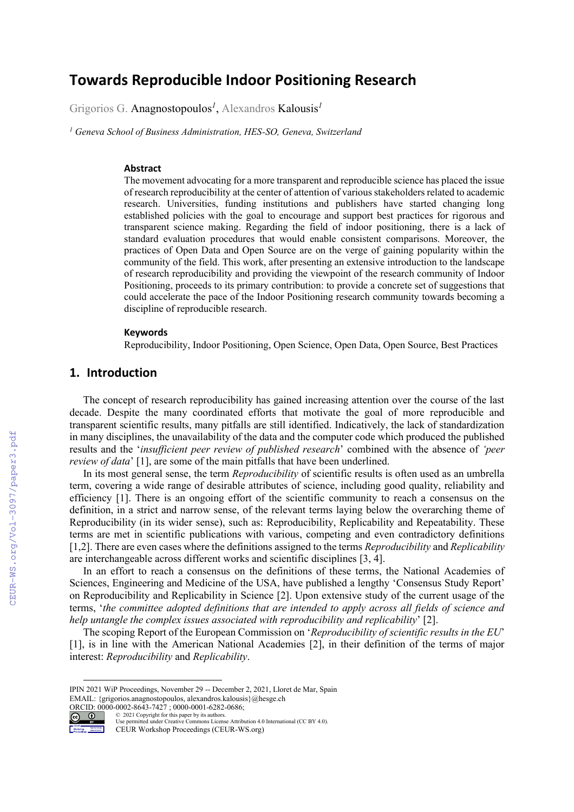# **Towards Reproducible Indoor Positioning Research**

Grigorios G. Anagnostopoulos*<sup>1</sup>* , Alexandros Kalousis*<sup>1</sup>*

*<sup>1</sup> Geneva School of Business Administration, HES-SO, Geneva, Switzerland*

#### **Abstract**

The movement advocating for a more transparent and reproducible science has placed the issue of research reproducibility at the center of attention of various stakeholders related to academic research. Universities, funding institutions and publishers have started changing long established policies with the goal to encourage and support best practices for rigorous and transparent science making. Regarding the field of indoor positioning, there is a lack of standard evaluation procedures that would enable consistent comparisons. Moreover, the practices of Open Data and Open Source are on the verge of gaining popularity within the community of the field. This work, after presenting an extensive introduction to the landscape of research reproducibility and providing the viewpoint of the research community of Indoor Positioning, proceeds to its primary contribution: to provide a concrete set of suggestions that could accelerate the pace of the Indoor Positioning research community towards becoming a discipline of reproducible research.

#### **Keywords 1**

Reproducibility, Indoor Positioning, Open Science, Open Data, Open Source, Best Practices

# **1. Introduction**

The concept of research reproducibility has gained increasing attention over the course of the last decade. Despite the many coordinated efforts that motivate the goal of more reproducible and transparent scientific results, many pitfalls are still identified. Indicatively, the lack of standardization in many disciplines, the unavailability of the data and the computer code which produced the published results and the '*insufficient peer review of published research*' combined with the absence of *'peer review of data*' [1], are some of the main pitfalls that have been underlined.

In its most general sense, the term *Reproducibility* of scientific results is often used as an umbrella term, covering a wide range of desirable attributes of science, including good quality, reliability and efficiency [1]. There is an ongoing effort of the scientific community to reach a consensus on the definition, in a strict and narrow sense, of the relevant terms laying below the overarching theme of Reproducibility (in its wider sense), such as: Reproducibility, Replicability and Repeatability. These terms are met in scientific publications with various, competing and even contradictory definitions [1,2]. There are even cases where the definitions assigned to the terms *Reproducibility* and *Replicability* are interchangeable across different works and scientific disciplines [3, 4].

In an effort to reach a consensus on the definitions of these terms, the National Academies of Sciences, Engineering and Medicine of the USA, have published a lengthy 'Consensus Study Report' on Reproducibility and Replicability in Science [2]. Upon extensive study of the current usage of the terms, '*the committee adopted definitions that are intended to apply across all fields of science and help untangle the complex issues associated with reproducibility and replicability*' [2].

The scoping Report of the European Commission on '*Reproducibility of scientific results in the EU*' [1], is in line with the American National Academies [2], in their definition of the terms of major interest: *Reproducibility* and *Replicability*.

ORCID: 0000-0002-8643-7427 ; 0000-0001-6282-0686;<br>
© 2021 Copyright for this paper by its authors.  $\frac{0.002}{0.2021}$  Copyright for this paper by its authors.



Use permitted under Creative Commons License Attribution 4.0 International (CC BY 4.0).

IPIN 2021 WiP Proceedings, November 29 -- December 2, 2021, Lloret de Mar, Spain EMAIL: {grigorios.anagnostopoulos, alexandros.kalousis}@hesge.ch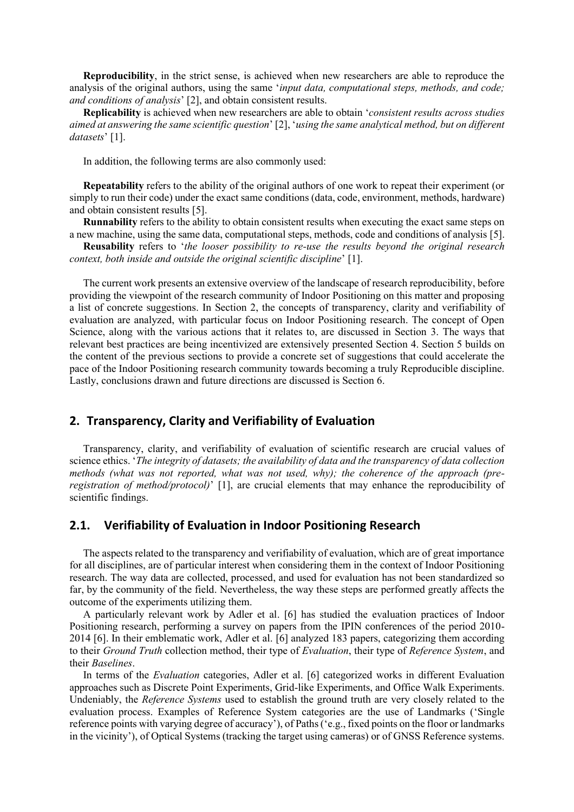**Reproducibility**, in the strict sense, is achieved when new researchers are able to reproduce the analysis of the original authors, using the same '*input data, computational steps, methods, and code; and conditions of analysis*' [2], and obtain consistent results.

**Replicability** is achieved when new researchers are able to obtain '*consistent results across studies aimed at answering the same scientific question*' [2], '*using the same analytical method, but on different datasets*' [1].

In addition, the following terms are also commonly used:

**Repeatability** refers to the ability of the original authors of one work to repeat their experiment (or simply to run their code) under the exact same conditions (data, code, environment, methods, hardware) and obtain consistent results [5].

**Runnability** refers to the ability to obtain consistent results when executing the exact same steps on a new machine, using the same data, computational steps, methods, code and conditions of analysis [5].

**Reusability** refers to '*the looser possibility to re-use the results beyond the original research context, both inside and outside the original scientific discipline*' [1].

The current work presents an extensive overview of the landscape of research reproducibility, before providing the viewpoint of the research community of Indoor Positioning on this matter and proposing a list of concrete suggestions. In Section 2, the concepts of transparency, clarity and verifiability of evaluation are analyzed, with particular focus on Indoor Positioning research. The concept of Open Science, along with the various actions that it relates to, are discussed in Section 3. The ways that relevant best practices are being incentivized are extensively presented Section 4. Section 5 builds on the content of the previous sections to provide a concrete set of suggestions that could accelerate the pace of the Indoor Positioning research community towards becoming a truly Reproducible discipline. Lastly, conclusions drawn and future directions are discussed is Section 6.

# **2. Transparency, Clarity and Verifiability of Evaluation**

Transparency, clarity, and verifiability of evaluation of scientific research are crucial values of science ethics. '*The integrity of datasets; the availability of data and the transparency of data collection methods (what was not reported, what was not used, why); the coherence of the approach (preregistration of method/protocol)*' [1], are crucial elements that may enhance the reproducibility of scientific findings.

#### **2.1. Verifiability of Evaluation in Indoor Positioning Research**

The aspects related to the transparency and verifiability of evaluation, which are of great importance for all disciplines, are of particular interest when considering them in the context of Indoor Positioning research. The way data are collected, processed, and used for evaluation has not been standardized so far, by the community of the field. Nevertheless, the way these steps are performed greatly affects the outcome of the experiments utilizing them.

A particularly relevant work by Adler et al. [6] has studied the evaluation practices of Indoor Positioning research, performing a survey on papers from the IPIN conferences of the period 2010- 2014 [6]. In their emblematic work, Adler et al. [6] analyzed 183 papers, categorizing them according to their *Ground Truth* collection method, their type of *Evaluation*, their type of *Reference System*, and their *Baselines*.

In terms of the *Evaluation* categories, Adler et al. [6] categorized works in different Evaluation approaches such as Discrete Point Experiments, Grid-like Experiments, and Office Walk Experiments. Undeniably, the *Reference Systems* used to establish the ground truth are very closely related to the evaluation process. Examples of Reference System categories are the use of Landmarks ('Single reference points with varying degree of accuracy'), of Paths ('e.g., fixed points on the floor or landmarks in the vicinity'), of Optical Systems (tracking the target using cameras) or of GNSS Reference systems.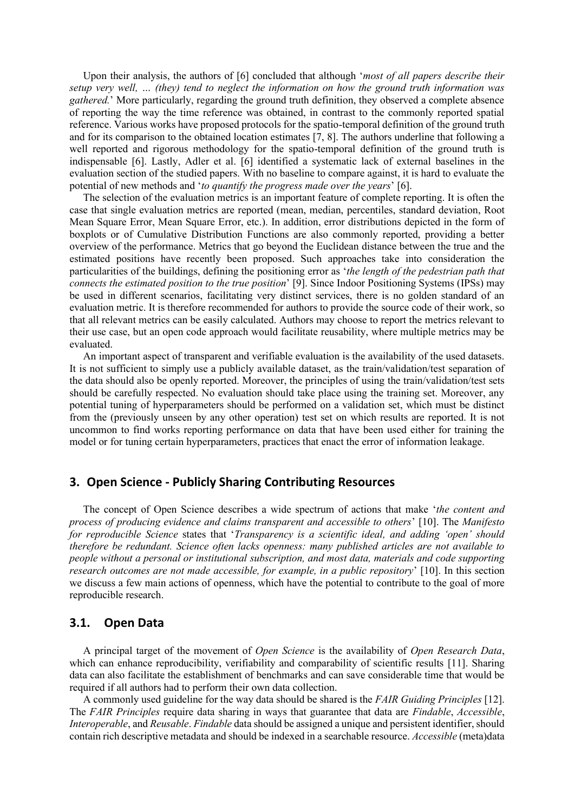Upon their analysis, the authors of [6] concluded that although '*most of all papers describe their setup very well, … (they) tend to neglect the information on how the ground truth information was gathered.*' More particularly, regarding the ground truth definition, they observed a complete absence of reporting the way the time reference was obtained, in contrast to the commonly reported spatial reference. Various works have proposed protocols for the spatio-temporal definition of the ground truth and for its comparison to the obtained location estimates [7, 8]. The authors underline that following a well reported and rigorous methodology for the spatio-temporal definition of the ground truth is indispensable [6]. Lastly, Adler et al. [6] identified a systematic lack of external baselines in the evaluation section of the studied papers. With no baseline to compare against, it is hard to evaluate the potential of new methods and '*to quantify the progress made over the years*' [6].

The selection of the evaluation metrics is an important feature of complete reporting. It is often the case that single evaluation metrics are reported (mean, median, percentiles, standard deviation, Root Mean Square Error, Mean Square Error, etc.). In addition, error distributions depicted in the form of boxplots or of Cumulative Distribution Functions are also commonly reported, providing a better overview of the performance. Metrics that go beyond the Euclidean distance between the true and the estimated positions have recently been proposed. Such approaches take into consideration the particularities of the buildings, defining the positioning error as '*the length of the pedestrian path that connects the estimated position to the true position*' [9]. Since Indoor Positioning Systems (IPSs) may be used in different scenarios, facilitating very distinct services, there is no golden standard of an evaluation metric. It is therefore recommended for authors to provide the source code of their work, so that all relevant metrics can be easily calculated. Authors may choose to report the metrics relevant to their use case, but an open code approach would facilitate reusability, where multiple metrics may be evaluated.

An important aspect of transparent and verifiable evaluation is the availability of the used datasets. It is not sufficient to simply use a publicly available dataset, as the train/validation/test separation of the data should also be openly reported. Moreover, the principles of using the train/validation/test sets should be carefully respected. No evaluation should take place using the training set. Moreover, any potential tuning of hyperparameters should be performed on a validation set, which must be distinct from the (previously unseen by any other operation) test set on which results are reported. It is not uncommon to find works reporting performance on data that have been used either for training the model or for tuning certain hyperparameters, practices that enact the error of information leakage.

# **3. Open Science - Publicly Sharing Contributing Resources**

The concept of Open Science describes a wide spectrum of actions that make '*the content and process of producing evidence and claims transparent and accessible to others*' [10]. The *Manifesto for reproducible Science* states that '*Transparency is a scientific ideal, and adding 'open' should therefore be redundant. Science often lacks openness: many published articles are not available to people without a personal or institutional subscription, and most data, materials and code supporting research outcomes are not made accessible, for example, in a public repository*' [10]. In this section we discuss a few main actions of openness, which have the potential to contribute to the goal of more reproducible research.

#### **3.1. Open Data**

A principal target of the movement of *Open Science* is the availability of *Open Research Data*, which can enhance reproducibility, verifiability and comparability of scientific results [11]. Sharing data can also facilitate the establishment of benchmarks and can save considerable time that would be required if all authors had to perform their own data collection.

A commonly used guideline for the way data should be shared is the *FAIR Guiding Principles* [12]. The *FAIR Principles* require data sharing in ways that guarantee that data are *Findable*, *Accessible*, *Interoperable*, and *Reusable*. *Findable* data should be assigned a unique and persistent identifier, should contain rich descriptive metadata and should be indexed in a searchable resource. *Accessible* (meta)data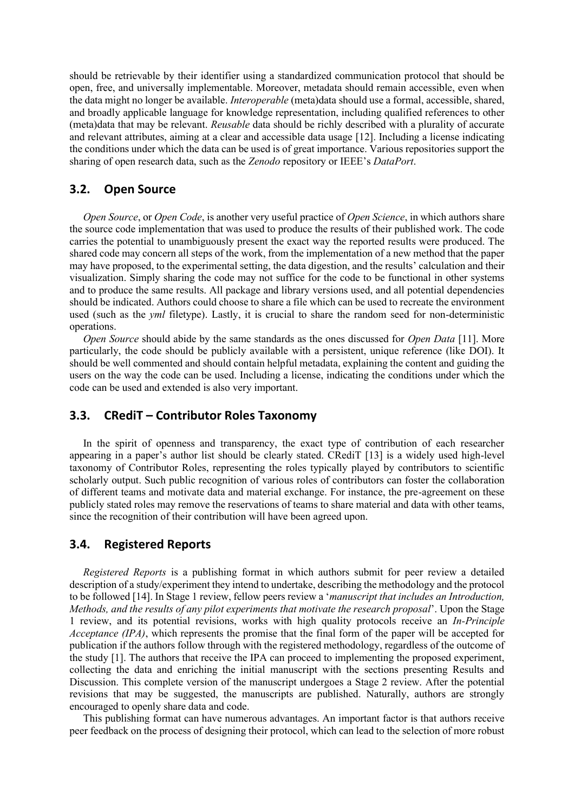should be retrievable by their identifier using a standardized communication protocol that should be open, free, and universally implementable. Moreover, metadata should remain accessible, even when the data might no longer be available. *Interoperable* (meta)data should use a formal, accessible, shared, and broadly applicable language for knowledge representation, including qualified references to other (meta)data that may be relevant. *Reusable* data should be richly described with a plurality of accurate and relevant attributes, aiming at a clear and accessible data usage [12]. Including a license indicating the conditions under which the data can be used is of great importance. Various repositories support the sharing of open research data, such as the *Zenodo* repository or IEEE's *DataPort*.

# **3.2. Open Source**

*Open Source*, or *Open Code*, is another very useful practice of *Open Science*, in which authors share the source code implementation that was used to produce the results of their published work. The code carries the potential to unambiguously present the exact way the reported results were produced. The shared code may concern all steps of the work, from the implementation of a new method that the paper may have proposed, to the experimental setting, the data digestion, and the results' calculation and their visualization. Simply sharing the code may not suffice for the code to be functional in other systems and to produce the same results. All package and library versions used, and all potential dependencies should be indicated. Authors could choose to share a file which can be used to recreate the environment used (such as the *yml* filetype). Lastly, it is crucial to share the random seed for non-deterministic operations.

*Open Source* should abide by the same standards as the ones discussed for *Open Data* [11]. More particularly, the code should be publicly available with a persistent, unique reference (like DOI). It should be well commented and should contain helpful metadata, explaining the content and guiding the users on the way the code can be used. Including a license, indicating the conditions under which the code can be used and extended is also very important.

# **3.3. CRediT – Contributor Roles Taxonomy**

In the spirit of openness and transparency, the exact type of contribution of each researcher appearing in a paper's author list should be clearly stated. CRediT [13] is a widely used high-level taxonomy of Contributor Roles, representing the roles typically played by contributors to scientific scholarly output. Such public recognition of various roles of contributors can foster the collaboration of different teams and motivate data and material exchange. For instance, the pre-agreement on these publicly stated roles may remove the reservations of teams to share material and data with other teams, since the recognition of their contribution will have been agreed upon.

# **3.4. Registered Reports**

*Registered Reports* is a publishing format in which authors submit for peer review a detailed description of a study/experiment they intend to undertake, describing the methodology and the protocol to be followed [14]. In Stage 1 review, fellow peers review a '*manuscript that includes an Introduction, Methods, and the results of any pilot experiments that motivate the research proposal*'. Upon the Stage 1 review, and its potential revisions, works with high quality protocols receive an *In-Principle Acceptance (IPA)*, which represents the promise that the final form of the paper will be accepted for publication if the authors follow through with the registered methodology, regardless of the outcome of the study [1]. The authors that receive the IPA can proceed to implementing the proposed experiment, collecting the data and enriching the initial manuscript with the sections presenting Results and Discussion. This complete version of the manuscript undergoes a Stage 2 review. After the potential revisions that may be suggested, the manuscripts are published. Naturally, authors are strongly encouraged to openly share data and code.

This publishing format can have numerous advantages. An important factor is that authors receive peer feedback on the process of designing their protocol, which can lead to the selection of more robust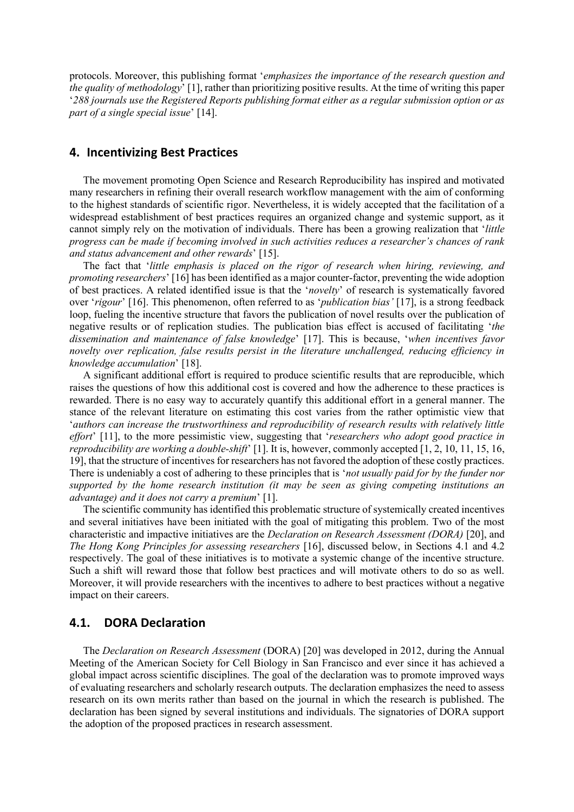protocols. Moreover, this publishing format '*emphasizes the importance of the research question and the quality of methodology*' [1], rather than prioritizing positive results. At the time of writing this paper '*288 journals use the Registered Reports publishing format either as a regular submission option or as part of a single special issue*' [14].

# **4. Incentivizing Best Practices**

The movement promoting Open Science and Research Reproducibility has inspired and motivated many researchers in refining their overall research workflow management with the aim of conforming to the highest standards of scientific rigor. Nevertheless, it is widely accepted that the facilitation of a widespread establishment of best practices requires an organized change and systemic support, as it cannot simply rely on the motivation of individuals. There has been a growing realization that '*little progress can be made if becoming involved in such activities reduces a researcher's chances of rank and status advancement and other rewards*' [15].

The fact that '*little emphasis is placed on the rigor of research when hiring, reviewing, and promoting researchers*' [16] has been identified as a major counter-factor, preventing the wide adoption of best practices. A related identified issue is that the '*novelty*' of research is systematically favored over '*rigour*' [16]. This phenomenon, often referred to as '*publication bias'* [17], is a strong feedback loop, fueling the incentive structure that favors the publication of novel results over the publication of negative results or of replication studies. The publication bias effect is accused of facilitating '*the dissemination and maintenance of false knowledge*' [17]. This is because, '*when incentives favor novelty over replication, false results persist in the literature unchallenged, reducing efficiency in knowledge accumulation*' [18].

A significant additional effort is required to produce scientific results that are reproducible, which raises the questions of how this additional cost is covered and how the adherence to these practices is rewarded. There is no easy way to accurately quantify this additional effort in a general manner. The stance of the relevant literature on estimating this cost varies from the rather optimistic view that '*authors can increase the trustworthiness and reproducibility of research results with relatively little effort*' [11], to the more pessimistic view, suggesting that '*researchers who adopt good practice in reproducibility are working a double-shift*' [1]. It is, however, commonly accepted [1, 2, 10, 11, 15, 16, 19], that the structure of incentives for researchers has not favored the adoption of these costly practices. There is undeniably a cost of adhering to these principles that is '*not usually paid for by the funder nor supported by the home research institution (it may be seen as giving competing institutions an advantage) and it does not carry a premium*' [1].

The scientific community has identified this problematic structure of systemically created incentives and several initiatives have been initiated with the goal of mitigating this problem. Two of the most characteristic and impactive initiatives are the *Declaration on Research Assessment (DORA)* [20], and *The Hong Kong Principles for assessing researchers* [16], discussed below, in Sections 4.1 and 4.2 respectively. The goal of these initiatives is to motivate a systemic change of the incentive structure. Such a shift will reward those that follow best practices and will motivate others to do so as well. Moreover, it will provide researchers with the incentives to adhere to best practices without a negative impact on their careers.

### **4.1. DORA Declaration**

The *Declaration on Research Assessment* (DORA) [20] was developed in 2012, during the Annual Meeting of the American Society for Cell Biology in San Francisco and ever since it has achieved a global impact across scientific disciplines. The goal of the declaration was to promote improved ways of evaluating researchers and scholarly research outputs. The declaration emphasizes the need to assess research on its own merits rather than based on the journal in which the research is published. The declaration has been signed by several institutions and individuals. The signatories of DORA support the adoption of the proposed practices in research assessment.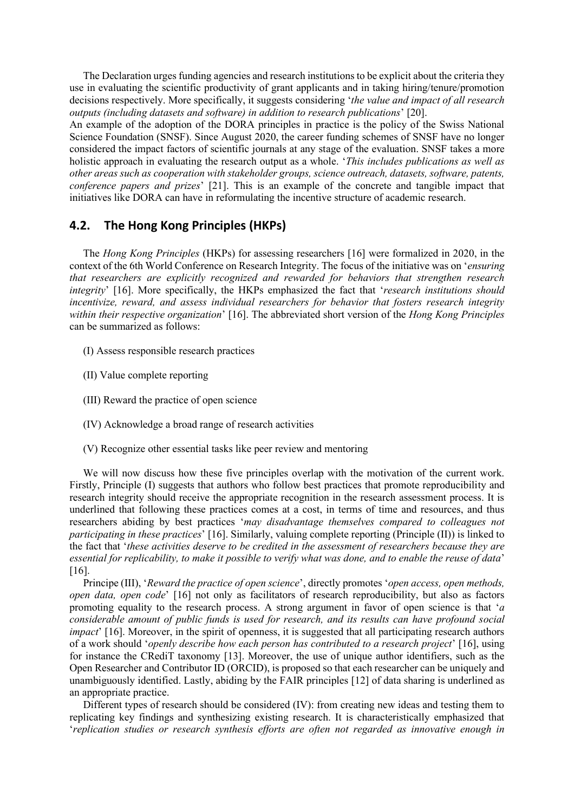The Declaration urges funding agencies and research institutions to be explicit about the criteria they use in evaluating the scientific productivity of grant applicants and in taking hiring/tenure/promotion decisions respectively. More specifically, it suggests considering '*the value and impact of all research outputs (including datasets and software) in addition to research publications*' [20].

An example of the adoption of the DORA principles in practice is the policy of the Swiss National Science Foundation (SNSF). Since August 2020, the career funding schemes of SNSF have no longer considered the impact factors of scientific journals at any stage of the evaluation. SNSF takes a more holistic approach in evaluating the research output as a whole. '*This includes publications as well as other areas such as cooperation with stakeholder groups, science outreach, datasets, software, patents, conference papers and prizes*' [21]. This is an example of the concrete and tangible impact that initiatives like DORA can have in reformulating the incentive structure of academic research.

### **4.2. The Hong Kong Principles (HKPs)**

The *Hong Kong Principles* (HKPs) for assessing researchers [16] were formalized in 2020, in the context of the 6th World Conference on Research Integrity. The focus of the initiative was on '*ensuring that researchers are explicitly recognized and rewarded for behaviors that strengthen research integrity*' [16]. More specifically, the HKPs emphasized the fact that '*research institutions should incentivize, reward, and assess individual researchers for behavior that fosters research integrity within their respective organization*' [16]. The abbreviated short version of the *Hong Kong Principles* can be summarized as follows:

- (I) Assess responsible research practices
- (II) Value complete reporting
- (III) Reward the practice of open science
- (IV) Acknowledge a broad range of research activities
- (V) Recognize other essential tasks like peer review and mentoring

We will now discuss how these five principles overlap with the motivation of the current work. Firstly, Principle (I) suggests that authors who follow best practices that promote reproducibility and research integrity should receive the appropriate recognition in the research assessment process. It is underlined that following these practices comes at a cost, in terms of time and resources, and thus researchers abiding by best practices '*may disadvantage themselves compared to colleagues not participating in these practices*' [16]. Similarly, valuing complete reporting (Principle (II)) is linked to the fact that '*these activities deserve to be credited in the assessment of researchers because they are essential for replicability, to make it possible to verify what was done, and to enable the reuse of data*' [16].

Principe (III), '*Reward the practice of open science*', directly promotes '*open access, open methods, open data, open code*' [16] not only as facilitators of research reproducibility, but also as factors promoting equality to the research process. A strong argument in favor of open science is that '*a considerable amount of public funds is used for research, and its results can have profound social impact*' [16]. Moreover, in the spirit of openness, it is suggested that all participating research authors of a work should '*openly describe how each person has contributed to a research project*' [16], using for instance the CRediT taxonomy [13]. Moreover, the use of unique author identifiers, such as the Open Researcher and Contributor ID (ORCID), is proposed so that each researcher can be uniquely and unambiguously identified. Lastly, abiding by the FAIR principles [12] of data sharing is underlined as an appropriate practice.

Different types of research should be considered (IV): from creating new ideas and testing them to replicating key findings and synthesizing existing research. It is characteristically emphasized that '*replication studies or research synthesis efforts are often not regarded as innovative enough in*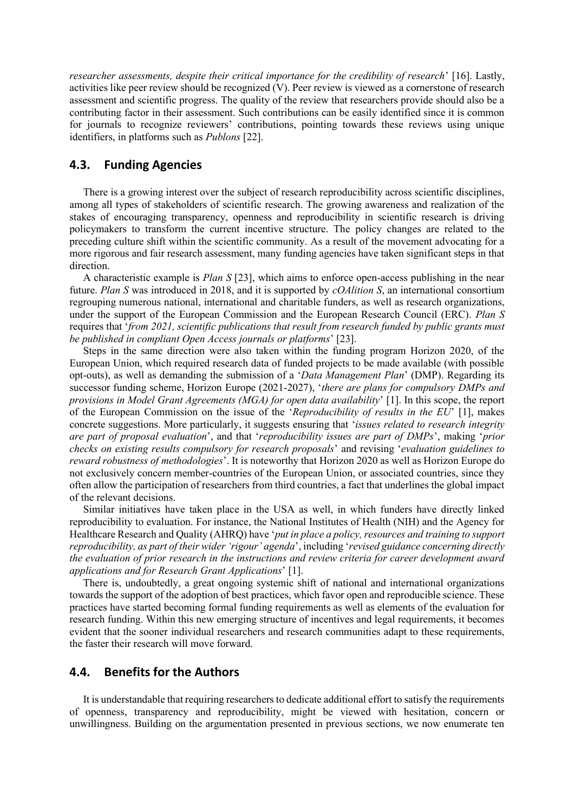*researcher assessments, despite their critical importance for the credibility of research*' [16]. Lastly, activities like peer review should be recognized (V). Peer review is viewed as a cornerstone of research assessment and scientific progress. The quality of the review that researchers provide should also be a contributing factor in their assessment. Such contributions can be easily identified since it is common for journals to recognize reviewers' contributions, pointing towards these reviews using unique identifiers, in platforms such as *Publons* [22].

# **4.3. Funding Agencies**

There is a growing interest over the subject of research reproducibility across scientific disciplines, among all types of stakeholders of scientific research. The growing awareness and realization of the stakes of encouraging transparency, openness and reproducibility in scientific research is driving policymakers to transform the current incentive structure. The policy changes are related to the preceding culture shift within the scientific community. As a result of the movement advocating for a more rigorous and fair research assessment, many funding agencies have taken significant steps in that direction.

A characteristic example is *Plan S* [23], which aims to enforce open-access publishing in the near future. *Plan S* was introduced in 2018, and it is supported by *cOAlition S*, an international consortium regrouping numerous national, international and charitable funders, as well as research organizations, under the support of the European Commission and the European Research Council (ERC). *Plan S* requires that '*from 2021, scientific publications that result from research funded by public grants must be published in compliant Open Access journals or platforms*' [23].

Steps in the same direction were also taken within the funding program Horizon 2020, of the European Union, which required research data of funded projects to be made available (with possible opt-outs), as well as demanding the submission of a '*Data Management Plan*' (DMP). Regarding its successor funding scheme, Horizon Europe (2021-2027), '*there are plans for compulsory DMPs and provisions in Model Grant Agreements (MGA) for open data availability*' [1]. In this scope, the report of the European Commission on the issue of the '*Reproducibility of results in the EU*' [1], makes concrete suggestions. More particularly, it suggests ensuring that '*issues related to research integrity are part of proposal evaluation*', and that '*reproducibility issues are part of DMPs*', making '*prior checks on existing results compulsory for research proposals*' and revising '*evaluation guidelines to reward robustness of methodologies*'. It is noteworthy that Horizon 2020 as well as Horizon Europe do not exclusively concern member-countries of the European Union, or associated countries, since they often allow the participation of researchers from third countries, a fact that underlines the global impact of the relevant decisions.

Similar initiatives have taken place in the USA as well, in which funders have directly linked reproducibility to evaluation. For instance, the National Institutes of Health (NIH) and the Agency for Healthcare Research and Quality (AHRQ) have '*put in place a policy, resources and training to support reproducibility, as part of their wider 'rigour' agenda*', including '*revised guidance concerning directly the evaluation of prior research in the instructions and review criteria for career development award applications and for Research Grant Applications*' [1].

There is, undoubtedly, a great ongoing systemic shift of national and international organizations towards the support of the adoption of best practices, which favor open and reproducible science. These practices have started becoming formal funding requirements as well as elements of the evaluation for research funding. Within this new emerging structure of incentives and legal requirements, it becomes evident that the sooner individual researchers and research communities adapt to these requirements, the faster their research will move forward.

# **4.4. Benefits for the Authors**

It is understandable that requiring researchers to dedicate additional effort to satisfy the requirements of openness, transparency and reproducibility, might be viewed with hesitation, concern or unwillingness. Building on the argumentation presented in previous sections, we now enumerate ten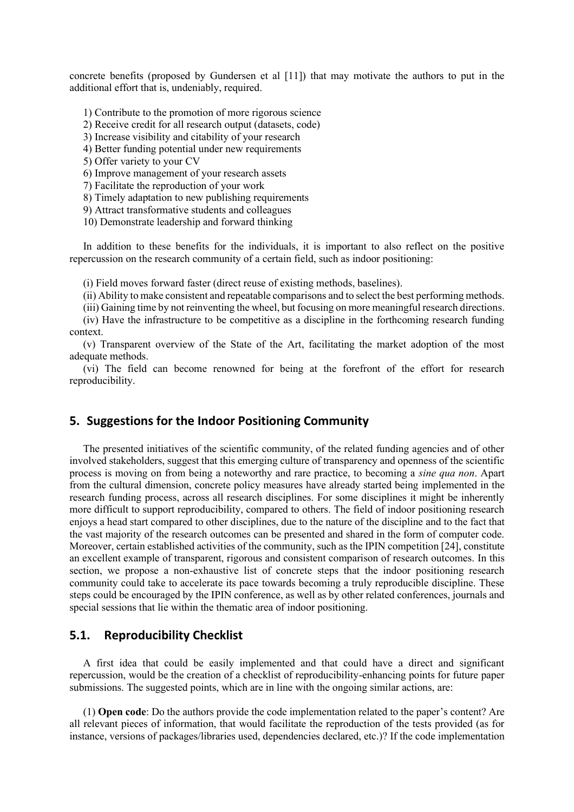concrete benefits (proposed by Gundersen et al [11]) that may motivate the authors to put in the additional effort that is, undeniably, required.

1) Contribute to the promotion of more rigorous science

2) Receive credit for all research output (datasets, code)

3) Increase visibility and citability of your research

4) Better funding potential under new requirements

5) Offer variety to your CV

6) Improve management of your research assets

7) Facilitate the reproduction of your work

8) Timely adaptation to new publishing requirements

9) Attract transformative students and colleagues

10) Demonstrate leadership and forward thinking

In addition to these benefits for the individuals, it is important to also reflect on the positive repercussion on the research community of a certain field, such as indoor positioning:

(i) Field moves forward faster (direct reuse of existing methods, baselines).

(ii) Ability to make consistent and repeatable comparisons and to select the best performing methods.

(iii) Gaining time by not reinventing the wheel, but focusing on more meaningful research directions.

(iv) Have the infrastructure to be competitive as a discipline in the forthcoming research funding context.

(v) Transparent overview of the State of the Art, facilitating the market adoption of the most adequate methods.

(vi) The field can become renowned for being at the forefront of the effort for research reproducibility.

# **5. Suggestions for the Indoor Positioning Community**

The presented initiatives of the scientific community, of the related funding agencies and of other involved stakeholders, suggest that this emerging culture of transparency and openness of the scientific process is moving on from being a noteworthy and rare practice, to becoming a *sine qua non*. Apart from the cultural dimension, concrete policy measures have already started being implemented in the research funding process, across all research disciplines. For some disciplines it might be inherently more difficult to support reproducibility, compared to others. The field of indoor positioning research enjoys a head start compared to other disciplines, due to the nature of the discipline and to the fact that the vast majority of the research outcomes can be presented and shared in the form of computer code. Moreover, certain established activities of the community, such as the IPIN competition [24], constitute an excellent example of transparent, rigorous and consistent comparison of research outcomes. In this section, we propose a non-exhaustive list of concrete steps that the indoor positioning research community could take to accelerate its pace towards becoming a truly reproducible discipline. These steps could be encouraged by the IPIN conference, as well as by other related conferences, journals and special sessions that lie within the thematic area of indoor positioning.

### **5.1. Reproducibility Checklist**

A first idea that could be easily implemented and that could have a direct and significant repercussion, would be the creation of a checklist of reproducibility-enhancing points for future paper submissions. The suggested points, which are in line with the ongoing similar actions, are:

(1) **Open code**: Do the authors provide the code implementation related to the paper's content? Are all relevant pieces of information, that would facilitate the reproduction of the tests provided (as for instance, versions of packages/libraries used, dependencies declared, etc.)? If the code implementation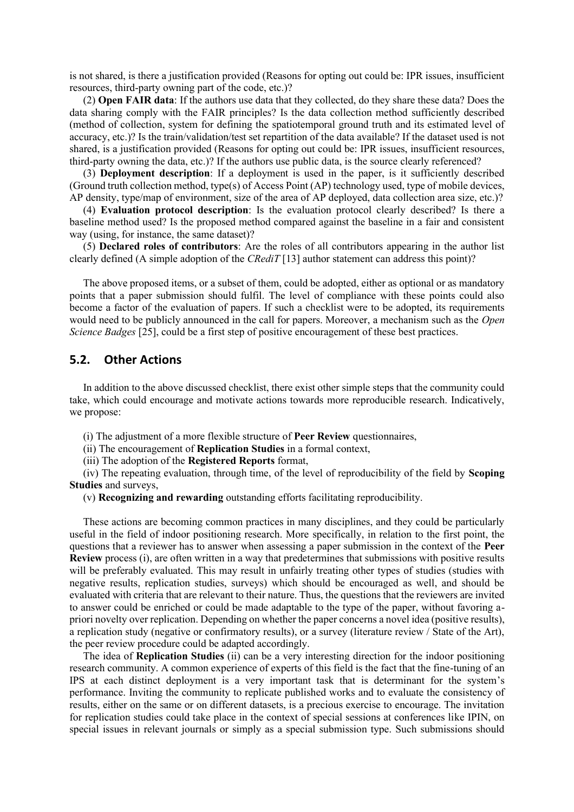is not shared, is there a justification provided (Reasons for opting out could be: IPR issues, insufficient resources, third-party owning part of the code, etc.)?

(2) **Open FAIR data**: If the authors use data that they collected, do they share these data? Does the data sharing comply with the FAIR principles? Is the data collection method sufficiently described (method of collection, system for defining the spatiotemporal ground truth and its estimated level of accuracy, etc.)? Is the train/validation/test set repartition of the data available? If the dataset used is not shared, is a justification provided (Reasons for opting out could be: IPR issues, insufficient resources, third-party owning the data, etc.)? If the authors use public data, is the source clearly referenced?

(3) **Deployment description**: If a deployment is used in the paper, is it sufficiently described (Ground truth collection method, type(s) of Access Point (AP) technology used, type of mobile devices, AP density, type/map of environment, size of the area of AP deployed, data collection area size, etc.)?

(4) **Evaluation protocol description**: Is the evaluation protocol clearly described? Is there a baseline method used? Is the proposed method compared against the baseline in a fair and consistent way (using, for instance, the same dataset)?

(5) **Declared roles of contributors**: Are the roles of all contributors appearing in the author list clearly defined (A simple adoption of the *CRediT* [13] author statement can address this point)?

The above proposed items, or a subset of them, could be adopted, either as optional or as mandatory points that a paper submission should fulfil. The level of compliance with these points could also become a factor of the evaluation of papers. If such a checklist were to be adopted, its requirements would need to be publicly announced in the call for papers. Moreover, a mechanism such as the *Open Science Badges* [25], could be a first step of positive encouragement of these best practices.

# **5.2. Other Actions**

In addition to the above discussed checklist, there exist other simple steps that the community could take, which could encourage and motivate actions towards more reproducible research. Indicatively, we propose:

(i) The adjustment of a more flexible structure of **Peer Review** questionnaires,

(ii) The encouragement of **Replication Studies** in a formal context,

(iii) The adoption of the **Registered Reports** format,

(iv) The repeating evaluation, through time, of the level of reproducibility of the field by **Scoping Studies** and surveys,

(v) **Recognizing and rewarding** outstanding efforts facilitating reproducibility.

These actions are becoming common practices in many disciplines, and they could be particularly useful in the field of indoor positioning research. More specifically, in relation to the first point, the questions that a reviewer has to answer when assessing a paper submission in the context of the **Peer Review** process (i), are often written in a way that predetermines that submissions with positive results will be preferably evaluated. This may result in unfairly treating other types of studies (studies with negative results, replication studies, surveys) which should be encouraged as well, and should be evaluated with criteria that are relevant to their nature. Thus, the questions that the reviewers are invited to answer could be enriched or could be made adaptable to the type of the paper, without favoring apriori novelty over replication. Depending on whether the paper concerns a novel idea (positive results), a replication study (negative or confirmatory results), or a survey (literature review / State of the Art), the peer review procedure could be adapted accordingly.

The idea of **Replication Studies** (ii) can be a very interesting direction for the indoor positioning research community. A common experience of experts of this field is the fact that the fine-tuning of an IPS at each distinct deployment is a very important task that is determinant for the system's performance. Inviting the community to replicate published works and to evaluate the consistency of results, either on the same or on different datasets, is a precious exercise to encourage. The invitation for replication studies could take place in the context of special sessions at conferences like IPIN, on special issues in relevant journals or simply as a special submission type. Such submissions should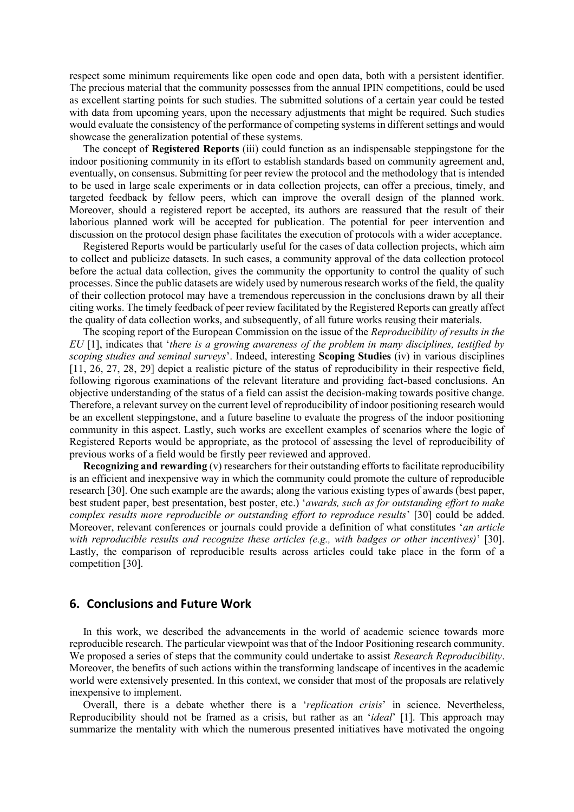respect some minimum requirements like open code and open data, both with a persistent identifier. The precious material that the community possesses from the annual IPIN competitions, could be used as excellent starting points for such studies. The submitted solutions of a certain year could be tested with data from upcoming years, upon the necessary adjustments that might be required. Such studies would evaluate the consistency of the performance of competing systems in different settings and would showcase the generalization potential of these systems.

The concept of **Registered Reports** (iii) could function as an indispensable steppingstone for the indoor positioning community in its effort to establish standards based on community agreement and, eventually, on consensus. Submitting for peer review the protocol and the methodology that is intended to be used in large scale experiments or in data collection projects, can offer a precious, timely, and targeted feedback by fellow peers, which can improve the overall design of the planned work. Moreover, should a registered report be accepted, its authors are reassured that the result of their laborious planned work will be accepted for publication. The potential for peer intervention and discussion on the protocol design phase facilitates the execution of protocols with a wider acceptance.

Registered Reports would be particularly useful for the cases of data collection projects, which aim to collect and publicize datasets. In such cases, a community approval of the data collection protocol before the actual data collection, gives the community the opportunity to control the quality of such processes. Since the public datasets are widely used by numerous research works of the field, the quality of their collection protocol may have a tremendous repercussion in the conclusions drawn by all their citing works. The timely feedback of peer review facilitated by the Registered Reports can greatly affect the quality of data collection works, and subsequently, of all future works reusing their materials.

The scoping report of the European Commission on the issue of the *Reproducibility of results in the EU* [1], indicates that '*there is a growing awareness of the problem in many disciplines, testified by scoping studies and seminal surveys*'. Indeed, interesting **Scoping Studies** (iv) in various disciplines [11, 26, 27, 28, 29] depict a realistic picture of the status of reproducibility in their respective field, following rigorous examinations of the relevant literature and providing fact-based conclusions. An objective understanding of the status of a field can assist the decision-making towards positive change. Therefore, a relevant survey on the current level of reproducibility of indoor positioning research would be an excellent steppingstone, and a future baseline to evaluate the progress of the indoor positioning community in this aspect. Lastly, such works are excellent examples of scenarios where the logic of Registered Reports would be appropriate, as the protocol of assessing the level of reproducibility of previous works of a field would be firstly peer reviewed and approved.

**Recognizing and rewarding** (v) researchers for their outstanding efforts to facilitate reproducibility is an efficient and inexpensive way in which the community could promote the culture of reproducible research [30]. One such example are the awards; along the various existing types of awards (best paper, best student paper, best presentation, best poster, etc.) '*awards, such as for outstanding effort to make complex results more reproducible or outstanding effort to reproduce results*' [30] could be added. Moreover, relevant conferences or journals could provide a definition of what constitutes '*an article with reproducible results and recognize these articles (e.g., with badges or other incentives)*' [30]. Lastly, the comparison of reproducible results across articles could take place in the form of a competition [30].

#### **6. Conclusions and Future Work**

In this work, we described the advancements in the world of academic science towards more reproducible research. The particular viewpoint was that of the Indoor Positioning research community. We proposed a series of steps that the community could undertake to assist *Research Reproducibility*. Moreover, the benefits of such actions within the transforming landscape of incentives in the academic world were extensively presented. In this context, we consider that most of the proposals are relatively inexpensive to implement.

Overall, there is a debate whether there is a '*replication crisis*' in science. Nevertheless, Reproducibility should not be framed as a crisis, but rather as an '*ideal*' [1]. This approach may summarize the mentality with which the numerous presented initiatives have motivated the ongoing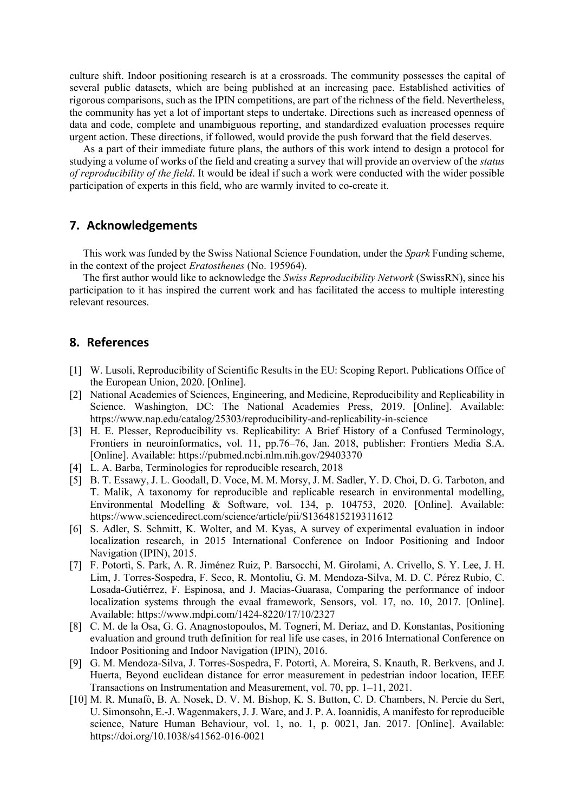culture shift. Indoor positioning research is at a crossroads. The community possesses the capital of several public datasets, which are being published at an increasing pace. Established activities of rigorous comparisons, such as the IPIN competitions, are part of the richness of the field. Nevertheless, the community has yet a lot of important steps to undertake. Directions such as increased openness of data and code, complete and unambiguous reporting, and standardized evaluation processes require urgent action. These directions, if followed, would provide the push forward that the field deserves.

As a part of their immediate future plans, the authors of this work intend to design a protocol for studying a volume of works of the field and creating a survey that will provide an overview of the *status of reproducibility of the field*. It would be ideal if such a work were conducted with the wider possible participation of experts in this field, who are warmly invited to co-create it.

#### **7. Acknowledgements**

This work was funded by the Swiss National Science Foundation, under the *Spark* Funding scheme, in the context of the project *Eratosthenes* (No. 195964).

The first author would like to acknowledge the *Swiss Reproducibility Network* (SwissRN), since his participation to it has inspired the current work and has facilitated the access to multiple interesting relevant resources.

# **8. References**

- [1] W. Lusoli, Reproducibility of Scientific Results in the EU: Scoping Report. Publications Office of the European Union, 2020. [Online].
- [2] National Academies of Sciences, Engineering, and Medicine, Reproducibility and Replicability in Science. Washington, DC: The National Academies Press, 2019. [Online]. Available: https://www.nap.edu/catalog/25303/reproducibility-and-replicability-in-science
- [3] H. E. Plesser, Reproducibility vs. Replicability: A Brief History of a Confused Terminology, Frontiers in neuroinformatics, vol. 11, pp.76–76, Jan. 2018, publisher: Frontiers Media S.A. [Online]. Available:<https://pubmed.ncbi.nlm.nih.gov/29403370>
- [4] L. A. Barba, Terminologies for reproducible research, 2018
- [5] B. T. Essawy, J. L. Goodall, D. Voce, M. M. Morsy, J. M. Sadler, Y. D. Choi, D. G. Tarboton, and T. Malik, A taxonomy for reproducible and replicable research in environmental modelling, Environmental Modelling & Software, vol. 134, p. 104753, 2020. [Online]. Available: https://www.sciencedirect.com/science/article/pii/S1364815219311612
- [6] S. Adler, S. Schmitt, K. Wolter, and M. Kyas, A survey of experimental evaluation in indoor localization research, in 2015 International Conference on Indoor Positioning and Indoor Navigation (IPIN), 2015.
- [7] F. Potortì, S. Park, A. R. Jiménez Ruiz, P. Barsocchi, M. Girolami, A. Crivello, S. Y. Lee, J. H. Lim, J. Torres-Sospedra, F. Seco, R. Montoliu, G. M. Mendoza-Silva, M. D. C. Pérez Rubio, C. Losada-Gutiérrez, F. Espinosa, and J. Macias-Guarasa, Comparing the performance of indoor localization systems through the evaal framework, Sensors, vol. 17, no. 10, 2017. [Online]. Available: https://www.mdpi.com/1424-8220/17/10/2327
- [8] C. M. de la Osa, G. G. Anagnostopoulos, M. Togneri, M. Deriaz, and D. Konstantas, Positioning evaluation and ground truth definition for real life use cases, in 2016 International Conference on Indoor Positioning and Indoor Navigation (IPIN), 2016.
- [9] G. M. Mendoza-Silva, J. Torres-Sospedra, F. Potortì, A. Moreira, S. Knauth, R. Berkvens, and J. Huerta, Beyond euclidean distance for error measurement in pedestrian indoor location, IEEE Transactions on Instrumentation and Measurement, vol. 70, pp. 1–11, 2021.
- [10] M. R. Munafò, B. A. Nosek, D. V. M. Bishop, K. S. Button, C. D. Chambers, N. Percie du Sert, U. Simonsohn, E.-J. Wagenmakers, J. J. Ware, and J. P. A. Ioannidis, A manifesto for reproducible science, Nature Human Behaviour, vol. 1, no. 1, p. 0021, Jan. 2017. [Online]. Available: <https://doi.org/10.1038/s41562-016-0021>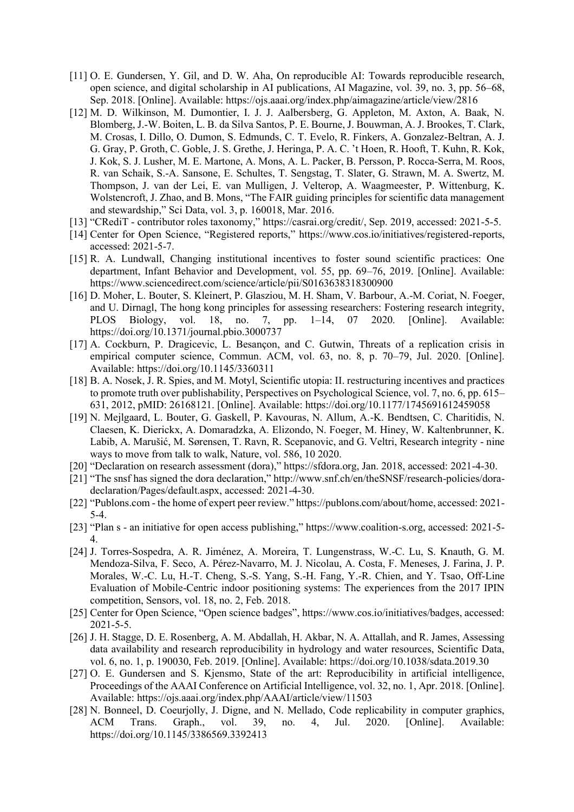- [11] O. E. Gundersen, Y. Gil, and D. W. Aha, On reproducible AI: Towards reproducible research, open science, and digital scholarship in AI publications, AI Magazine, vol. 39, no. 3, pp. 56–68, Sep. 2018. [Online]. Available: https://ojs.aaai.org/index.php/aimagazine/article/view/2816
- [12] M. D. Wilkinson, M. Dumontier, I. J. J. Aalbersberg, G. Appleton, M. Axton, A. Baak, N. Blomberg, J.-W. Boiten, L. B. da Silva Santos, P. E. Bourne, J. Bouwman, A. J. Brookes, T. Clark, M. Crosas, I. Dillo, O. Dumon, S. Edmunds, C. T. Evelo, R. Finkers, A. Gonzalez-Beltran, A. J. G. Gray, P. Groth, C. Goble, J. S. Grethe, J. Heringa, P. A. C. 't Hoen, R. Hooft, T. Kuhn, R. Kok, J. Kok, S. J. Lusher, M. E. Martone, A. Mons, A. L. Packer, B. Persson, P. Rocca-Serra, M. Roos, R. van Schaik, S.-A. Sansone, E. Schultes, T. Sengstag, T. Slater, G. Strawn, M. A. Swertz, M. Thompson, J. van der Lei, E. van Mulligen, J. Velterop, A. Waagmeester, P. Wittenburg, K. Wolstencroft, J. Zhao, and B. Mons, "The FAIR guiding principles for scientific data management and stewardship," Sci Data, vol. 3, p. 160018, Mar. 2016.
- [13] "CRediT contributor roles taxonomy," https://casrai.org/credit/, Sep. 2019, accessed: 2021-5-5.
- [14] Center for Open Science, "Registered reports," https://www.cos.io/initiatives/registered-reports, accessed: 2021-5-7.
- [15] R. A. Lundwall, Changing institutional incentives to foster sound scientific practices: One department, Infant Behavior and Development, vol. 55, pp. 69–76, 2019. [Online]. Available: https://www.sciencedirect.com/science/article/pii/S0163638318300900
- [16] D. Moher, L. Bouter, S. Kleinert, P. Glasziou, M. H. Sham, V. Barbour, A.-M. Coriat, N. Foeger, and U. Dirnagl, The hong kong principles for assessing researchers: Fostering research integrity, PLOS Biology, vol. 18, no. 7, pp. 1–14, 07 2020. [Online]. Available: https://doi.org/10.1371/journal.pbio.3000737
- [17] A. Cockburn, P. Dragicevic, L. Besançon, and C. Gutwin, Threats of a replication crisis in empirical computer science, Commun. ACM, vol. 63, no. 8, p. 70–79, Jul. 2020. [Online]. Available: https://doi.org/10.1145/3360311
- [18] B. A. Nosek, J. R. Spies, and M. Motyl, Scientific utopia: II. restructuring incentives and practices to promote truth over publishability, Perspectives on Psychological Science, vol. 7, no. 6, pp. 615– 631, 2012, pMID: 26168121. [Online]. Available: https://doi.org/10.1177/1745691612459058
- [19] N. Mejlgaard, L. Bouter, G. Gaskell, P. Kavouras, N. Allum, A.-K. Bendtsen, C. Charitidis, N. Claesen, K. Dierickx, A. Domaradzka, A. Elizondo, N. Foeger, M. Hiney, W. Kaltenbrunner, K. Labib, A. Marušić, M. Sørensen, T. Ravn, R. Scepanovic, and G. Veltri, Research integrity - nine ways to move from talk to walk, Nature, vol. 586, 10 2020.
- [20] "Declaration on research assessment (dora)," https://sfdora.org, Jan. 2018, accessed: 2021-4-30.
- [21] "The snsf has signed the dora declaration," http://www.snf.ch/en/theSNSF/research-policies/doradeclaration/Pages/default.aspx, accessed: 2021-4-30.
- [22] "Publons.com the home of expert peer review." https://publons.com/about/home, accessed: 2021- 5-4.
- [23] "Plan s an initiative for open access publishing," https://www.coalition-s.org, accessed: 2021-5- 4.
- [24] J. Torres-Sospedra, A. R. Jiménez, A. Moreira, T. Lungenstrass, W.-C. Lu, S. Knauth, G. M. Mendoza-Silva, F. Seco, A. Pérez-Navarro, M. J. Nicolau, A. Costa, F. Meneses, J. Farina, J. P. Morales, W.-C. Lu, H.-T. Cheng, S.-S. Yang, S.-H. Fang, Y.-R. Chien, and Y. Tsao, Off-Line Evaluation of Mobile-Centric indoor positioning systems: The experiences from the 2017 IPIN competition, Sensors, vol. 18, no. 2, Feb. 2018.
- [25] Center for Open Science, "Open science badges", https://www.cos.io/initiatives/badges, accessed: 2021-5-5.
- [26] J. H. Stagge, D. E. Rosenberg, A. M. Abdallah, H. Akbar, N. A. Attallah, and R. James, Assessing data availability and research reproducibility in hydrology and water resources, Scientific Data, vol. 6, no. 1, p. 190030, Feb. 2019. [Online]. Available: https://doi.org/10.1038/sdata.2019.30
- [27] O. E. Gundersen and S. Kjensmo, State of the art: Reproducibility in artificial intelligence, Proceedings of the AAAI Conference on Artificial Intelligence, vol. 32, no. 1, Apr. 2018. [Online]. Available: https://ojs.aaai.org/index.php/AAAI/article/view/11503
- [28] N. Bonneel, D. Coeurjolly, J. Digne, and N. Mellado, Code replicability in computer graphics, ACM Trans. Graph., vol. 39, no. 4, Jul. 2020. [Online]. Available: https://doi.org/10.1145/3386569.3392413